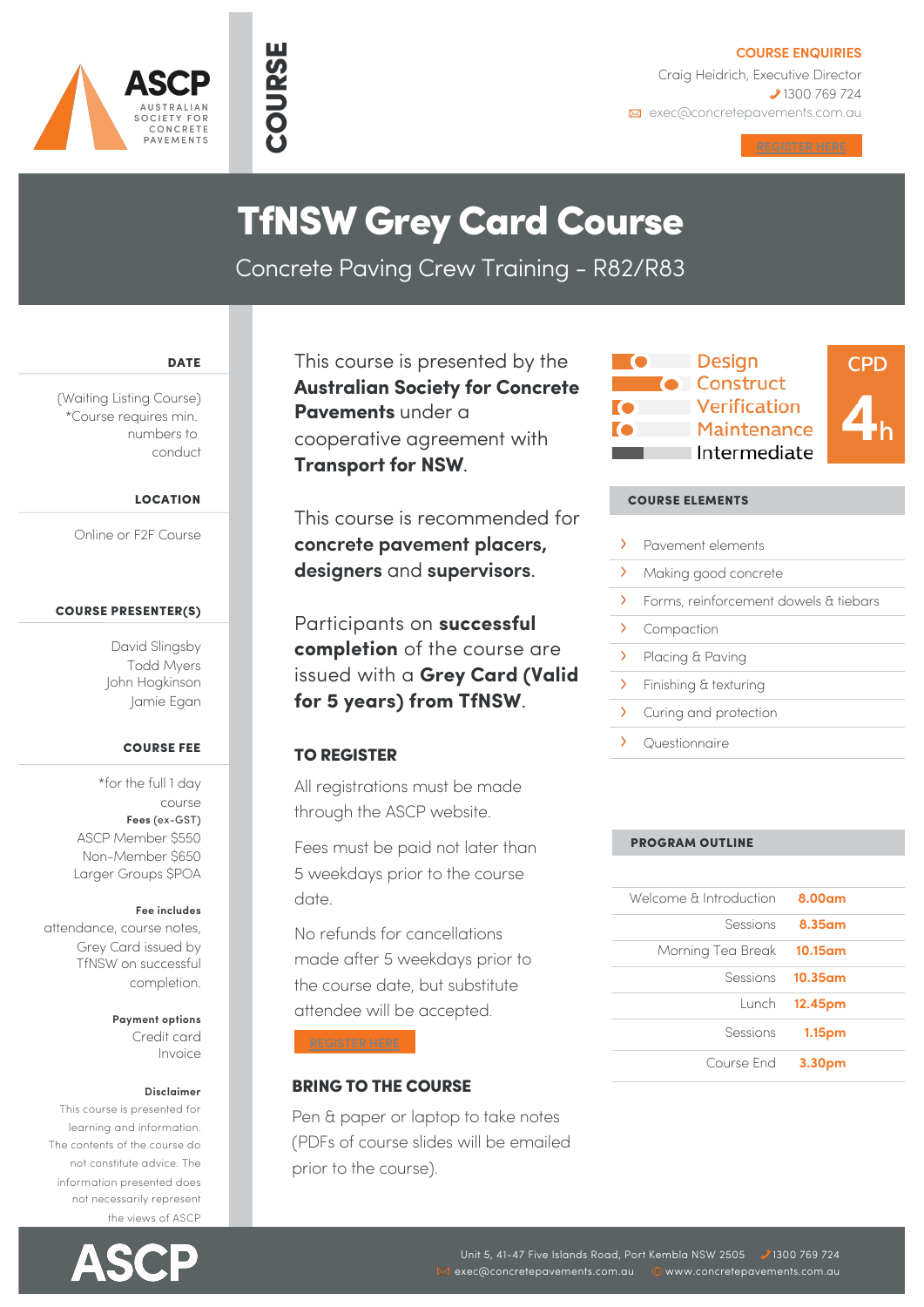



## **COURSE ENQUIRIES**

Craig Heidrich, Executive Director **2** 1300 769 724 **Exec@concretepavements.com.au** 

## TfNSW Grey Card Course

Concrete Paving Crew Training - R82/R83

DATE

(Waiting Listing Course) \*Course requires min. numbers to conduct

## LOCATION

Online or F2F Course

## COURSE PRESENTER(S)

David Slingsby Todd Myers John Hogkinson Jamie Egan

## COURSE FEE

\*for the full 1 day course **Fees** (ex-GST) ASCP Member \$550 Non-Member \$650 Larger Groups \$POA

## **Fee includes**

attendance, course notes, Grey Card issued by TfNSW on successful completion.

> **Payment options** Credit card Invoice

#### **Disclaimer**

This course is presented for learning and information. The contents of the course do not constitute advice. The information presented does not necessarily represent the views of ASCP



This course is presented by the **Australian Society for Concrete Pavements** under a cooperative agreement with **Transport for NSW**.

This course is recommended for **concrete pavement placers, designers** and **supervisors**.

Participants on **successful completion** of the course are issued with a **Grey Card (Valid for 5 years) from TfNSW**.

## TO REGISTER

All registrations must be made through the ASCP website.

Fees must be paid not later than 5 weekdays prior to the course date.

No refunds for cancellations made after 5 weekdays prior to the course date, but substitute attendee will be accepted.

## BRING TO THE COURSE

Pen & paper or laptop to take notes (PDFs of course slides will be emailed prior to the course).



## COURSE ELEMENTS

- $\sum_{i=1}^{n}$ Pavement elements
- $\rightarrow$ Making good concrete
- $\sum_{i=1}^{n}$ Forms, reinforcement dowels & tiebars
- $\mathbf{\Sigma}$ Compaction
- $\overline{\phantom{0}}$ Placing & Paving
- $\overline{\phantom{0}}$ Finishing & texturing
- $\overline{\phantom{1}}$ Curing and protection
- $\overline{\phantom{0}}$ Questionnaire

## PROGRAM OUTLINE

| Welcome & Introduction 8.00am |                         |
|-------------------------------|-------------------------|
|                               | Sessions <b>8.35am</b>  |
| Morning Tea Break 10.15am     |                         |
|                               | Sessions <b>10.35am</b> |
|                               | Lunch 12.45pm           |
|                               | Sessions 1.15pm         |
| Course End 3.30pm             |                         |